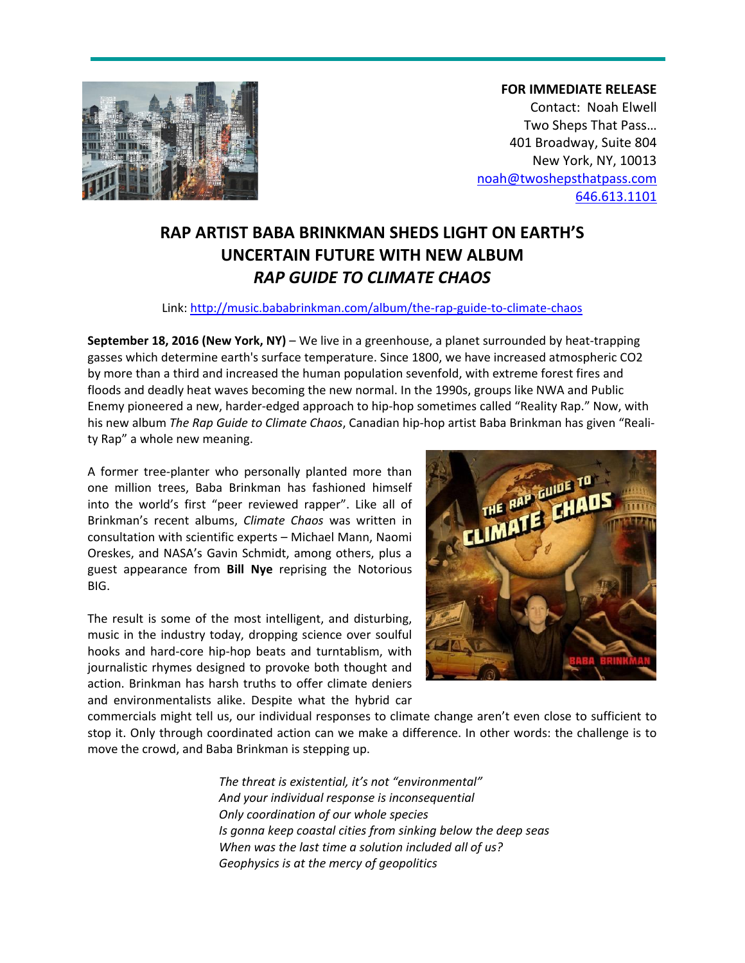

**FOR IMMEDIATE RELEASE** Contact: Noah Elwell Two Sheps That Pass… 401 Broadway, Suite 804 New York, NY, 10013 [noah@twoshepsthatpass.com](mailto:noah@twoshepsthatpass.com) 646.613.1101

# **RAP ARTIST BABA BRINKMAN SHEDS LIGHT ON EARTH'S UNCERTAIN FUTURE WITH NEW ALBUM** *RAP GUIDE TO CLIMATE CHAOS*

## Link: <http://music.bababrinkman.com/album/the-rap-guide-to-climate-chaos>

**September 18, 2016 (New York, NY)** – We live in a greenhouse, a planet surrounded by heat-trapping gasses which determine earth's surface temperature. Since 1800, we have increased atmospheric CO2 by more than a third and increased the human population sevenfold, with extreme forest fires and floods and deadly heat waves becoming the new normal. In the 1990s, groups like NWA and Public Enemy pioneered a new, harder-edged approach to hip-hop sometimes called "Reality Rap." Now, with his new album *The Rap Guide to Climate Chaos*, Canadian hip-hop artist Baba Brinkman has given "Reality Rap" a whole new meaning.

A former tree-planter who personally planted more than one million trees, Baba Brinkman has fashioned himself into the world's first "peer reviewed rapper". Like all of Brinkman's recent albums, *Climate Chaos* was written in consultation with scientific experts – Michael Mann, Naomi Oreskes, and NASA's Gavin Schmidt, among others, plus a guest appearance from **Bill Nye** reprising the Notorious BIG.

The result is some of the most intelligent, and disturbing, music in the industry today, dropping science over soulful hooks and hard-core hip-hop beats and turntablism, with journalistic rhymes designed to provoke both thought and action. Brinkman has harsh truths to offer climate deniers and environmentalists alike. Despite what the hybrid car



commercials might tell us, our individual responses to climate change aren't even close to sufficient to stop it. Only through coordinated action can we make a difference. In other words: the challenge is to move the crowd, and Baba Brinkman is stepping up.

> *The threat is existential, it's not "environmental" And your individual response is inconsequential Only coordination of our whole species Is gonna keep coastal cities from sinking below the deep seas When was the last time a solution included all of us? Geophysics is at the mercy of geopolitics*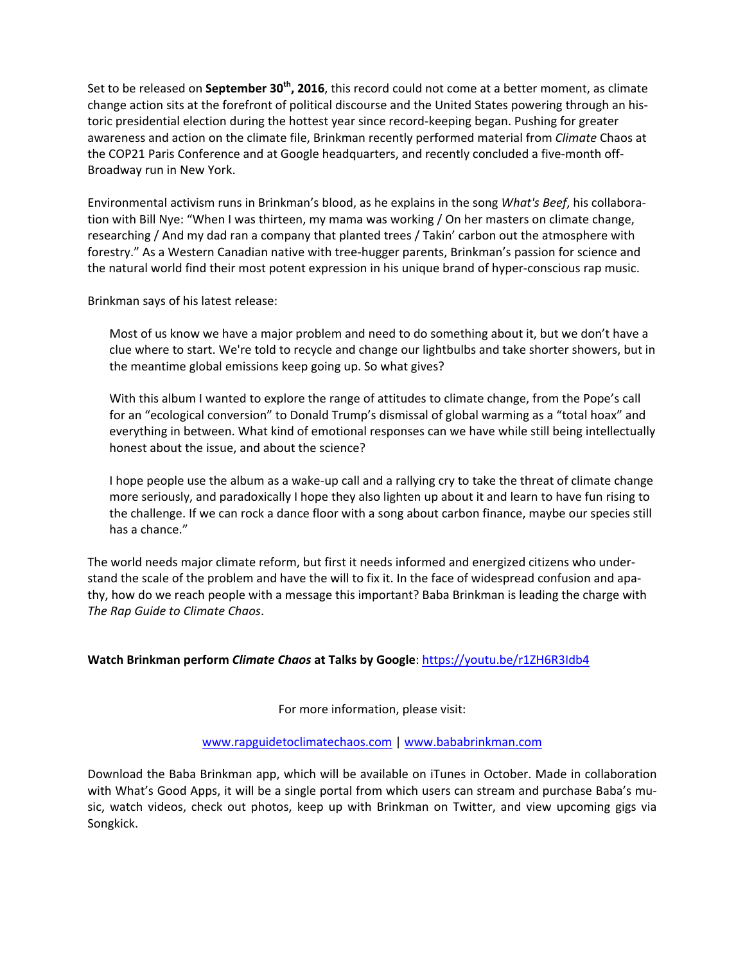Set to be released on **September 30th , 2016**, this record could not come at a better moment, as climate change action sits at the forefront of political discourse and the United States powering through an historic presidential election during the hottest year since record-keeping began. Pushing for greater awareness and action on the climate file, Brinkman recently performed material from *Climate* Chaos at the COP21 Paris Conference and at Google headquarters, and recently concluded a five-month off-Broadway run in New York.

Environmental activism runs in Brinkman's blood, as he explains in the song *What's Beef*, his collaboration with Bill Nye: "When I was thirteen, my mama was working / On her masters on climate change, researching / And my dad ran a company that planted trees / Takin' carbon out the atmosphere with forestry." As a Western Canadian native with tree-hugger parents, Brinkman's passion for science and the natural world find their most potent expression in his unique brand of hyper-conscious rap music.

Brinkman says of his latest release:

Most of us know we have a major problem and need to do something about it, but we don't have a clue where to start. We're told to recycle and change our lightbulbs and take shorter showers, but in the meantime global emissions keep going up. So what gives?

With this album I wanted to explore the range of attitudes to climate change, from the Pope's call for an "ecological conversion" to Donald Trump's dismissal of global warming as a "total hoax" and everything in between. What kind of emotional responses can we have while still being intellectually honest about the issue, and about the science?

I hope people use the album as a wake-up call and a rallying cry to take the threat of climate change more seriously, and paradoxically I hope they also lighten up about it and learn to have fun rising to the challenge. If we can rock a dance floor with a song about carbon finance, maybe our species still has a chance."

The world needs major climate reform, but first it needs informed and energized citizens who understand the scale of the problem and have the will to fix it. In the face of widespread confusion and apathy, how do we reach people with a message this important? Baba Brinkman is leading the charge with *The Rap Guide to Climate Chaos*.

## **Watch Brinkman perform** *Climate Chaos* **at Talks by Google**: <https://youtu.be/r1ZH6R3Idb4>

For more information, please visit:

### [www.rapguidetoclimatechaos.com](http://www.rapguidetoclimatechaos.com/) | [www.bababrinkman.com](http://www.bababrinkman.com/)

Download the Baba Brinkman app, which will be available on iTunes in October. Made in collaboration with What's Good Apps, it will be a single portal from which users can stream and purchase Baba's music, watch videos, check out photos, keep up with Brinkman on Twitter, and view upcoming gigs via Songkick.